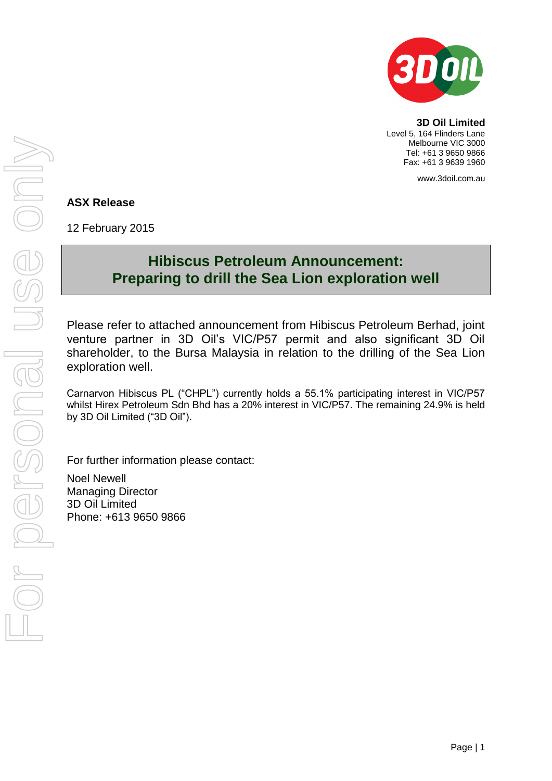

**3D Oil Limited** Level 5, 164 Flinders Lane Melbourne VIC 3000 Tel: +61 3 9650 9866 Fax: +61 3 9639 1960

www.3doil.com.au

### **ASX Release**

12 February 2015

# **Hibiscus Petroleum Announcement: Preparing to drill the Sea Lion exploration well**

Please refer to attached announcement from Hibiscus Petroleum Berhad, joint venture partner in 3D Oil's VIC/P57 permit and also significant 3D Oil shareholder, to the Bursa Malaysia in relation to the drilling of the Sea Lion exploration well.

Carnarvon Hibiscus PL ("CHPL") currently holds a 55.1% participating interest in VIC/P57 whilst Hirex Petroleum Sdn Bhd has a 20% interest in VIC/P57. The remaining 24.9% is held by 3D Oil Limited ("3D Oil").

For further information please contact:

Noel Newell Managing Director 3D Oil Limited Phone: +613 9650 9866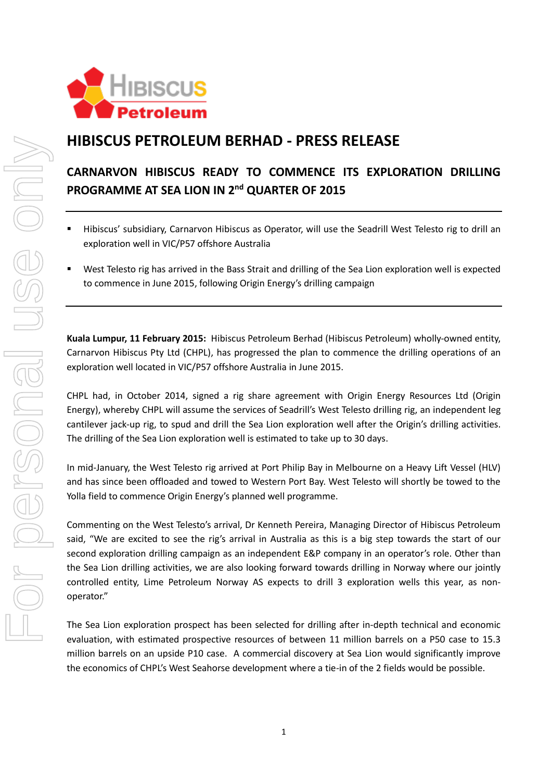

## **HIBISCUS PETROLEUM BERHAD - PRESS RELEASE**

## **CARNARVON HIBISCUS READY TO COMMENCE ITS EXPLORATION DRILLING PROGRAMME AT SEA LION IN 2 nd QUARTER OF 2015**

- Hibiscus' subsidiary, Carnarvon Hibiscus as Operator, will use the Seadrill West Telesto rig to drill an exploration well in VIC/P57 offshore Australia
- West Telesto rig has arrived in the Bass Strait and drilling of the Sea Lion exploration well is expected to commence in June 2015, following Origin Energy's drilling campaign

**Kuala Lumpur, 11 February 2015:** Hibiscus Petroleum Berhad (Hibiscus Petroleum) wholly-owned entity, Carnarvon Hibiscus Pty Ltd (CHPL), has progressed the plan to commence the drilling operations of an exploration well located in VIC/P57 offshore Australia in June 2015.

CHPL had, in October 2014, signed a rig share agreement with Origin Energy Resources Ltd (Origin Energy), whereby CHPL will assume the services of Seadrill's West Telesto drilling rig, an independent leg cantilever jack-up rig, to spud and drill the Sea Lion exploration well after the Origin's drilling activities. The drilling of the Sea Lion exploration well is estimated to take up to 30 days.

In mid-January, the West Telesto rig arrived at Port Philip Bay in Melbourne on a Heavy Lift Vessel (HLV) and has since been offloaded and towed to Western Port Bay. West Telesto will shortly be towed to the Yolla field to commence Origin Energy's planned well programme.

Commenting on the West Telesto's arrival, Dr Kenneth Pereira, Managing Director of Hibiscus Petroleum said, "We are excited to see the rig's arrival in Australia as this is a big step towards the start of our second exploration drilling campaign as an independent E&P company in an operator's role. Other than the Sea Lion drilling activities, we are also looking forward towards drilling in Norway where our jointly controlled entity, Lime Petroleum Norway AS expects to drill 3 exploration wells this year, as nonoperator."

The Sea Lion exploration prospect has been selected for drilling after in-depth technical and economic evaluation, with estimated prospective resources of between 11 million barrels on a P50 case to 15.3 million barrels on an upside P10 case. A commercial discovery at Sea Lion would significantly improve the economics of CHPL's West Seahorse development where a tie-in of the 2 fields would be possible.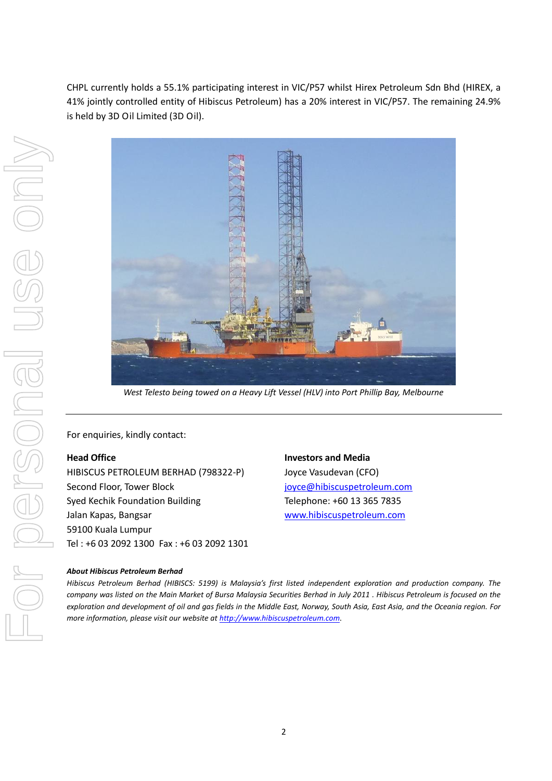CHPL currently holds a 55.1% participating interest in VIC/P57 whilst Hirex Petroleum Sdn Bhd (HIREX, a 41% jointly controlled entity of Hibiscus Petroleum) has a 20% interest in VIC/P57. The remaining 24.9% is held by 3D Oil Limited (3D Oil).



*West Telesto being towed on a Heavy Lift Vessel (HLV) into Port Phillip Bay, Melbourne*

For enquiries, kindly contact:

#### **Head Office**

HIBISCUS PETROLEUM BERHAD (798322-P) Second Floor, Tower Block Syed Kechik Foundation Building Jalan Kapas, Bangsar 59100 Kuala Lumpur Tel : +6 03 2092 1300 Fax : +6 03 2092 1301

**Investors and Media** Joyce Vasudevan (CFO) [joyce@hibiscuspetroleum.com](mailto:joyce@hibiscuspetroleum.com) Telephone: +60 13 365 7835 [www.hibiscuspetroleum.com](http://www.hibiscuspetroleum.com/)

#### *About Hibiscus Petroleum Berhad*

*Hibiscus Petroleum Berhad (HIBISCS: 5199) is Malaysia's first listed independent exploration and production company. The company was listed on the Main Market of Bursa Malaysia Securities Berhad in July 2011 . Hibiscus Petroleum is focused on the exploration and development of oil and gas fields in the Middle East, Norway, South Asia, East Asia, and the Oceania region. For more information, please visit our website at [http://www.hibiscuspetroleum.com](http://www.hibiscuspetroleum.com/).*